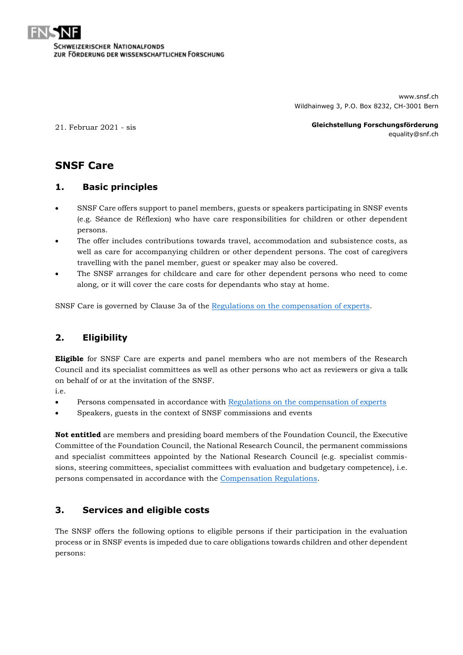

www.snsf.ch Wildhainweg 3, P.O. Box 8232, CH-3001 Bern

21. Februar 2021 - sis

**Gleichstellung Forschungsförderung** equality@snf.ch

# **SNSF Care**

#### **1. Basic principles**

- SNSF Care offers support to panel members, guests or speakers participating in SNSF events (e.g. Séance de Réflexion) who have care responsibilities for children or other dependent persons.
- The offer includes contributions towards travel, accommodation and subsistence costs, as well as care for accompanying children or other dependent persons. The cost of caregivers travelling with the panel member, guest or speaker may also be covered.
- The SNSF arranges for childcare and care for other dependent persons who need to come along, or it will cover the care costs for dependants who stay at home.

SNSF Care is governed by Clause 3a of the [Regulations on the compensation of experts.](http://www.snf.ch/SiteCollectionDocuments/reglement_expertenentschaedigung_e.pdf)

#### **2. Eligibility**

**Eligible** for SNSF Care are experts and panel members who are not members of the Research Council and its specialist committees as well as other persons who act as reviewers or giva a talk on behalf of or at the invitation of the SNSF.

i.e.

- Persons compensated in accordance with [Regulations on the compensation of experts](http://www.snf.ch/SiteCollectionDocuments/reglement_expertenentschaedigung_e.pdf)
- Speakers, guests in the context of SNSF commissions and events

**Not entitled** are members and presiding board members of the Foundation Council, the Executive Committee of the Foundation Council, the National Research Council, the permanent commissions and specialist committees appointed by the National Research Council (e.g. specialist commissions, steering committees, specialist committees with evaluation and budgetary competence), i.e. persons compensated in accordance with the [Compensation Regulations.](https://servo.snf.ch/tr/rechtsgrundlagen/snfdok/18-1%20Entsch%C3%A4diungsreglement_e.pdf)

### **3. Services and eligible costs**

The SNSF offers the following options to eligible persons if their participation in the evaluation process or in SNSF events is impeded due to care obligations towards children and other dependent persons: